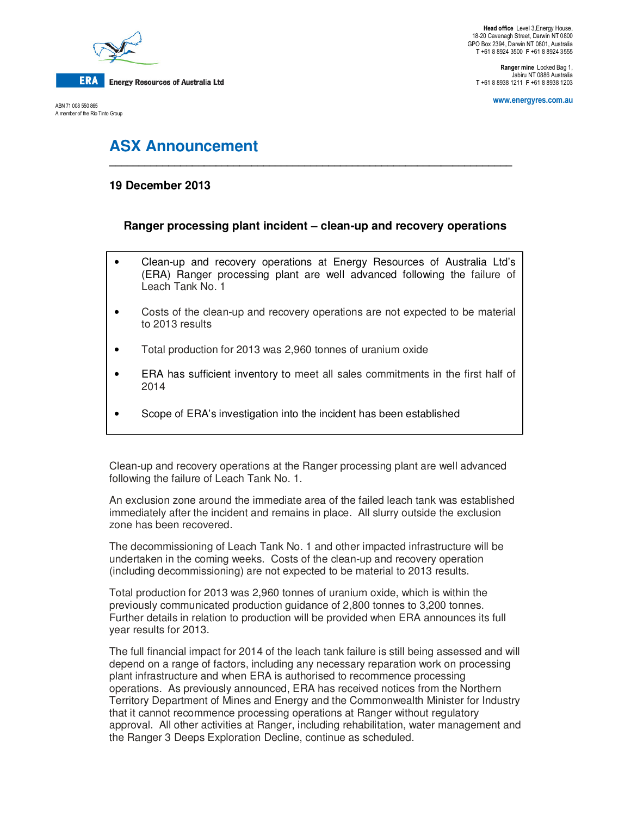

**Energy Resources of Australia Ltd** 

ABN 71 008 550 865 A member of the Rio Tinto Group

**Head office** Level 3,Energy House, 18-20 Cavenagh Street, Darwin NT 0800 GPO Box 2394, Darwin NT 0801, Australia **T** +61 8 8924 3500 **F** +61 8 8924 3555

**Ranger mine** Locked Bag 1, Jabiru NT 0886 Australia **T** +61 8 8938 1211 **F** +61 8 8938 1203

**www.energyres.com.au** 

# **ASX Announcement**

# **19 December 2013**

## **Ranger processing plant incident – clean-up and recovery operations**

**\_\_\_\_\_\_\_\_\_\_\_\_\_\_\_\_\_\_\_\_\_\_\_\_\_\_\_\_\_\_\_\_\_\_\_\_\_\_\_\_\_\_\_\_\_\_\_\_\_\_\_\_\_\_\_\_\_\_\_\_\_\_\_\_\_\_\_\_** 

- Clean-up and recovery operations at Energy Resources of Australia Ltd's (ERA) Ranger processing plant are well advanced following the failure of Leach Tank No. 1
- Costs of the clean-up and recovery operations are not expected to be material to 2013 results
- Total production for 2013 was 2,960 tonnes of uranium oxide
- ERA has sufficient inventory to meet all sales commitments in the first half of 2014
- Scope of ERA's investigation into the incident has been established

Clean-up and recovery operations at the Ranger processing plant are well advanced following the failure of Leach Tank No. 1.

An exclusion zone around the immediate area of the failed leach tank was established immediately after the incident and remains in place. All slurry outside the exclusion zone has been recovered.

The decommissioning of Leach Tank No. 1 and other impacted infrastructure will be undertaken in the coming weeks. Costs of the clean-up and recovery operation (including decommissioning) are not expected to be material to 2013 results.

Total production for 2013 was 2,960 tonnes of uranium oxide, which is within the previously communicated production guidance of 2,800 tonnes to 3,200 tonnes. Further details in relation to production will be provided when ERA announces its full year results for 2013.

The full financial impact for 2014 of the leach tank failure is still being assessed and will depend on a range of factors, including any necessary reparation work on processing plant infrastructure and when ERA is authorised to recommence processing operations. As previously announced, ERA has received notices from the Northern Territory Department of Mines and Energy and the Commonwealth Minister for Industry that it cannot recommence processing operations at Ranger without regulatory approval. All other activities at Ranger, including rehabilitation, water management and the Ranger 3 Deeps Exploration Decline, continue as scheduled.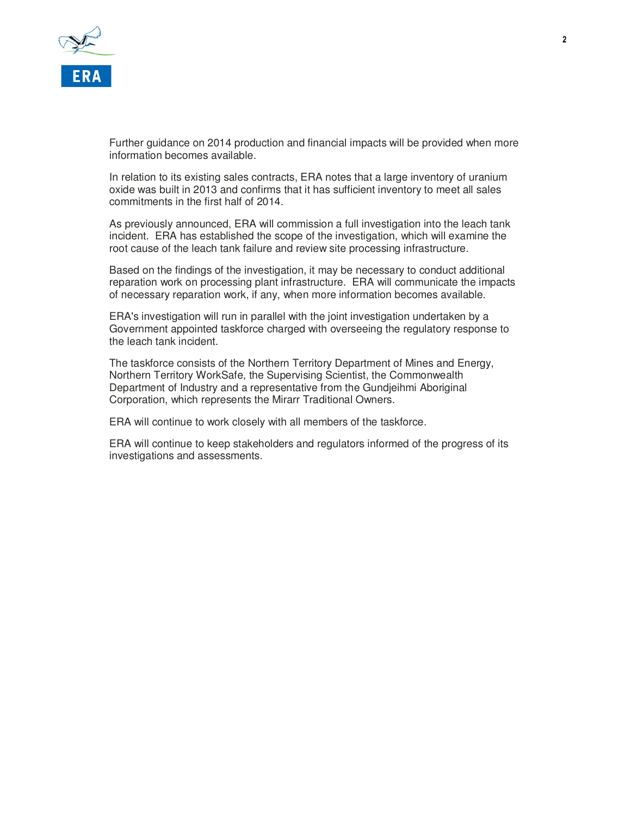

Further guidance on 2014 production and financial impacts will be provided when more information becomes available.

In relation to its existing sales contracts, ERA notes that a large inventory of uranium oxide was built in 2013 and confirms that it has sufficient inventory to meet all sales commitments in the first half of 2014.

As previously announced, ERA will commission a full investigation into the leach tank incident. ERA has established the scope of the investigation, which will examine the root cause of the leach tank failure and review site processing infrastructure.

Based on the findings of the investigation, it may be necessary to conduct additional reparation work on processing plant infrastructure. ERA will communicate the impacts of necessary reparation work, if any, when more information becomes available.

ERA's investigation will run in parallel with the joint investigation undertaken by a Government appointed taskforce charged with overseeing the regulatory response to the leach tank incident.

The taskforce consists of the Northern Territory Department of Mines and Energy, Northern Territory WorkSafe, the Supervising Scientist, the Commonwealth Department of Industry and a representative from the Gundjeihmi Aboriginal Corporation, which represents the Mirarr Traditional Owners.

ERA will continue to work closely with all members of the taskforce.

ERA will continue to keep stakeholders and regulators informed of the progress of its investigations and assessments.